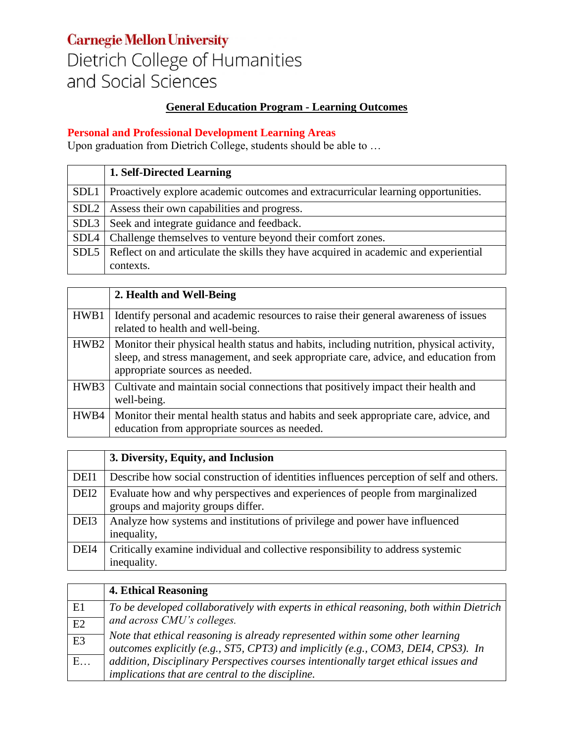### **Carnegie Mellon University** Dietrich College of Humanities and Social Sciences

#### **General Education Program - Learning Outcomes**

#### **Personal and Professional Development Learning Areas**

Upon graduation from Dietrich College, students should be able to …

|                  | 1. Self-Directed Learning                                                                 |
|------------------|-------------------------------------------------------------------------------------------|
| SDL1             | Proactively explore academic outcomes and extracurricular learning opportunities.         |
| SDL <sub>2</sub> | Assess their own capabilities and progress.                                               |
| SDL <sub>3</sub> | Seek and integrate guidance and feedback.                                                 |
|                  | SDL4   Challenge themselves to venture beyond their comfort zones.                        |
|                  | SDL5 Reflect on and articulate the skills they have acquired in academic and experiential |
|                  | contexts.                                                                                 |

|      | 2. Health and Well-Being                                                                                                                                                                                          |
|------|-------------------------------------------------------------------------------------------------------------------------------------------------------------------------------------------------------------------|
| HWB1 | Identify personal and academic resources to raise their general awareness of issues<br>related to health and well-being.                                                                                          |
| HWB2 | Monitor their physical health status and habits, including nutrition, physical activity,<br>sleep, and stress management, and seek appropriate care, advice, and education from<br>appropriate sources as needed. |
| HWB3 | Cultivate and maintain social connections that positively impact their health and<br>well-being.                                                                                                                  |
| HWB4 | Monitor their mental health status and habits and seek appropriate care, advice, and<br>education from appropriate sources as needed.                                                                             |

|                  | 3. Diversity, Equity, and Inclusion                                                                                 |
|------------------|---------------------------------------------------------------------------------------------------------------------|
| DEI1             | Describe how social construction of identities influences perception of self and others.                            |
| DEI <sub>2</sub> | Evaluate how and why perspectives and experiences of people from marginalized<br>groups and majority groups differ. |
| DEI3             | Analyze how systems and institutions of privilege and power have influenced<br>inequality,                          |
| DEI4             | Critically examine individual and collective responsibility to address systemic<br>inequality.                      |

|    | <b>4. Ethical Reasoning</b>                                                                                                                                        |
|----|--------------------------------------------------------------------------------------------------------------------------------------------------------------------|
| E1 | To be developed collaboratively with experts in ethical reasoning, both within Dietrich                                                                            |
| E2 | and across CMU's colleges.                                                                                                                                         |
| E3 | Note that ethical reasoning is already represented within some other learning<br>outcomes explicitly (e.g., ST5, CPT3) and implicitly (e.g., COM3, DEI4, CPS3). In |
| E  | addition, Disciplinary Perspectives courses intentionally target ethical issues and                                                                                |
|    | implications that are central to the discipline.                                                                                                                   |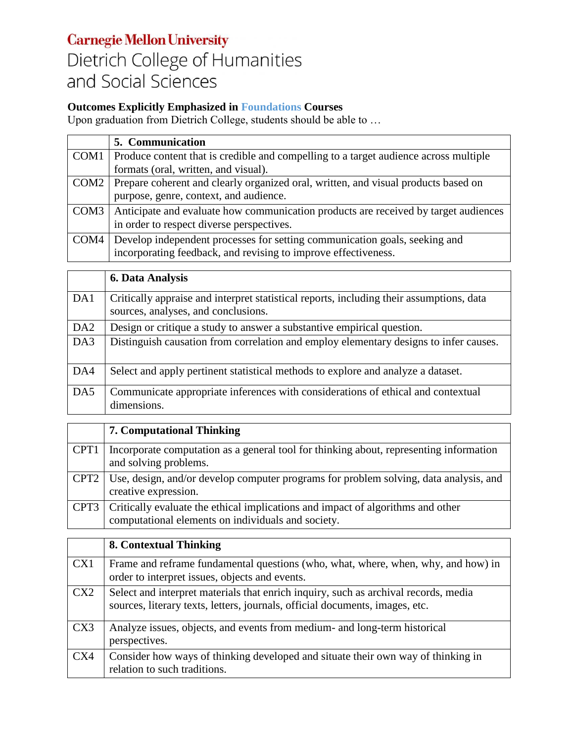# **Carnegie Mellon University**

# Dietrich College of Humanities and Social Sciences

### **Outcomes Explicitly Emphasized in Foundations Courses**

Upon graduation from Dietrich College, students should be able to …

| 5. Communication                                                                            |
|---------------------------------------------------------------------------------------------|
| COM1   Produce content that is credible and compelling to a target audience across multiple |
| formats (oral, written, and visual).                                                        |
| COM2 Prepare coherent and clearly organized oral, written, and visual products based on     |
| purpose, genre, context, and audience.                                                      |
| COM3   Anticipate and evaluate how communication products are received by target audiences  |
| in order to respect diverse perspectives.                                                   |
| COM4   Develop independent processes for setting communication goals, seeking and           |
| incorporating feedback, and revising to improve effectiveness.                              |

|                 | <b>6. Data Analysis</b>                                                                                                         |
|-----------------|---------------------------------------------------------------------------------------------------------------------------------|
| DA1             | Critically appraise and interpret statistical reports, including their assumptions, data<br>sources, analyses, and conclusions. |
| DA <sub>2</sub> | Design or critique a study to answer a substantive empirical question.                                                          |
| DA3             | Distinguish causation from correlation and employ elementary designs to infer causes.                                           |
| DA4             | Select and apply pertinent statistical methods to explore and analyze a dataset.                                                |
| DA5             | Communicate appropriate inferences with considerations of ethical and contextual<br>dimensions.                                 |

|                  | <b>7. Computational Thinking</b>                                                                                                      |
|------------------|---------------------------------------------------------------------------------------------------------------------------------------|
| CPT <sub>1</sub> | Incorporate computation as a general tool for thinking about, representing information<br>and solving problems.                       |
|                  | CPT2   Use, design, and/or develop computer programs for problem solving, data analysis, and<br>creative expression.                  |
| CPT3             | Critically evaluate the ethical implications and impact of algorithms and other<br>computational elements on individuals and society. |

|     | 8. Contextual Thinking                                                                                                                                              |
|-----|---------------------------------------------------------------------------------------------------------------------------------------------------------------------|
| CX1 | Frame and reframe fundamental questions (who, what, where, when, why, and how) in<br>order to interpret issues, objects and events.                                 |
| CX2 | Select and interpret materials that enrich inquiry, such as archival records, media<br>sources, literary texts, letters, journals, official documents, images, etc. |
| CX3 | Analyze issues, objects, and events from medium- and long-term historical<br>perspectives.                                                                          |
| CX4 | Consider how ways of thinking developed and situate their own way of thinking in<br>relation to such traditions.                                                    |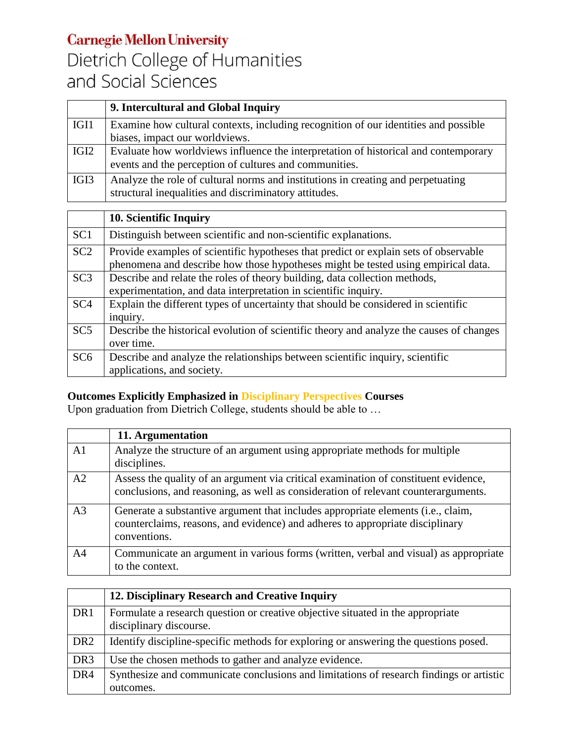## **Carnegie Mellon University** Dietrich College of Humanities and Social Sciences

|                  | 9. Intercultural and Global Inquiry                                                 |
|------------------|-------------------------------------------------------------------------------------|
| IGI1             | Examine how cultural contexts, including recognition of our identities and possible |
|                  | biases, impact our worldviews.                                                      |
| IGI <sub>2</sub> | Evaluate how worldviews influence the interpretation of historical and contemporary |
|                  | events and the perception of cultures and communities.                              |
| IGI3             | Analyze the role of cultural norms and institutions in creating and perpetuating    |
|                  | structural inequalities and discriminatory attitudes.                               |

|                 | 10. Scientific Inquiry                                                                                                                                                    |
|-----------------|---------------------------------------------------------------------------------------------------------------------------------------------------------------------------|
| SC <sub>1</sub> | Distinguish between scientific and non-scientific explanations.                                                                                                           |
| SC <sub>2</sub> | Provide examples of scientific hypotheses that predict or explain sets of observable<br>phenomena and describe how those hypotheses might be tested using empirical data. |
| SC <sub>3</sub> | Describe and relate the roles of theory building, data collection methods,<br>experimentation, and data interpretation in scientific inquiry.                             |
| SC <sub>4</sub> | Explain the different types of uncertainty that should be considered in scientific<br>inquiry.                                                                            |
| SC5             | Describe the historical evolution of scientific theory and analyze the causes of changes<br>over time.                                                                    |
| SC <sub>6</sub> | Describe and analyze the relationships between scientific inquiry, scientific<br>applications, and society.                                                               |

### **Outcomes Explicitly Emphasized in Disciplinary Perspectives Courses**

Upon graduation from Dietrich College, students should be able to …

|                | 11. Argumentation                                                                                                                                                                 |
|----------------|-----------------------------------------------------------------------------------------------------------------------------------------------------------------------------------|
| A <sub>1</sub> | Analyze the structure of an argument using appropriate methods for multiple<br>disciplines.                                                                                       |
| A2             | Assess the quality of an argument via critical examination of constituent evidence,<br>conclusions, and reasoning, as well as consideration of relevant counterarguments.         |
| A <sub>3</sub> | Generate a substantive argument that includes appropriate elements (i.e., claim,<br>counterclaims, reasons, and evidence) and adheres to appropriate disciplinary<br>conventions. |
| A <sub>4</sub> | Communicate an argument in various forms (written, verbal and visual) as appropriate<br>to the context.                                                                           |

|                 | 12. Disciplinary Research and Creative Inquiry                                                             |
|-----------------|------------------------------------------------------------------------------------------------------------|
| DR <sub>1</sub> | Formulate a research question or creative objective situated in the appropriate<br>disciplinary discourse. |
| DR <sub>2</sub> | Identify discipline-specific methods for exploring or answering the questions posed.                       |
| DR <sub>3</sub> | Use the chosen methods to gather and analyze evidence.                                                     |
| DR <sub>4</sub> | Synthesize and communicate conclusions and limitations of research findings or artistic<br>outcomes.       |